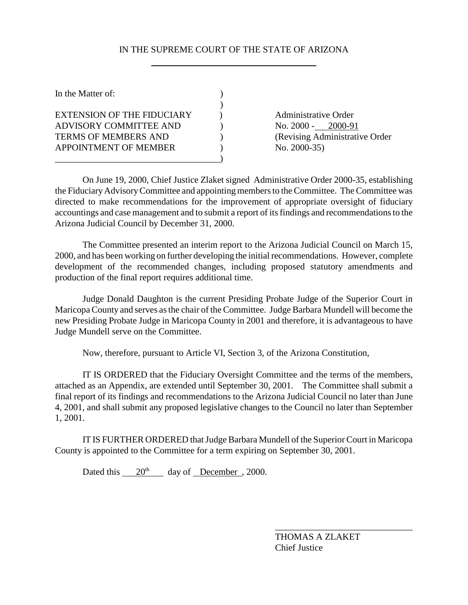## IN THE SUPREME COURT OF THE STATE OF ARIZONA

| <b>Administrative Order</b><br>No. 2000 -<br>2000-91<br>(Revising Administrative Order<br>No. $2000-35$ ) |
|-----------------------------------------------------------------------------------------------------------|
|                                                                                                           |

On June 19, 2000, Chief Justice Zlaket signed Administrative Order 2000-35, establishing the Fiduciary Advisory Committee and appointing members to the Committee. The Committee was directed to make recommendations for the improvement of appropriate oversight of fiduciary accountings and case management and to submit a report of its findings and recommendations to the Arizona Judicial Council by December 31, 2000.

The Committee presented an interim report to the Arizona Judicial Council on March 15, 2000, and has been working on further developing the initial recommendations. However, complete development of the recommended changes, including proposed statutory amendments and production of the final report requires additional time.

Judge Donald Daughton is the current Presiding Probate Judge of the Superior Court in Maricopa County and serves as the chair of the Committee. Judge Barbara Mundell will become the new Presiding Probate Judge in Maricopa County in 2001 and therefore, it is advantageous to have Judge Mundell serve on the Committee.

Now, therefore, pursuant to Article VI, Section 3, of the Arizona Constitution,

IT IS ORDERED that the Fiduciary Oversight Committee and the terms of the members, attached as an Appendix, are extended until September 30, 2001. The Committee shall submit a final report of its findings and recommendations to the Arizona Judicial Council no later than June 4, 2001, and shall submit any proposed legislative changes to the Council no later than September 1, 2001.

IT IS FURTHER ORDERED that Judge Barbara Mundell of the Superior Court in Maricopa County is appointed to the Committee for a term expiring on September 30, 2001.

Dated this  $20^{th}$  day of December , 2000.

THOMAS A ZLAKET Chief Justice

\_\_\_\_\_\_\_\_\_\_\_\_\_\_\_\_\_\_\_\_\_\_\_\_\_\_\_\_\_\_